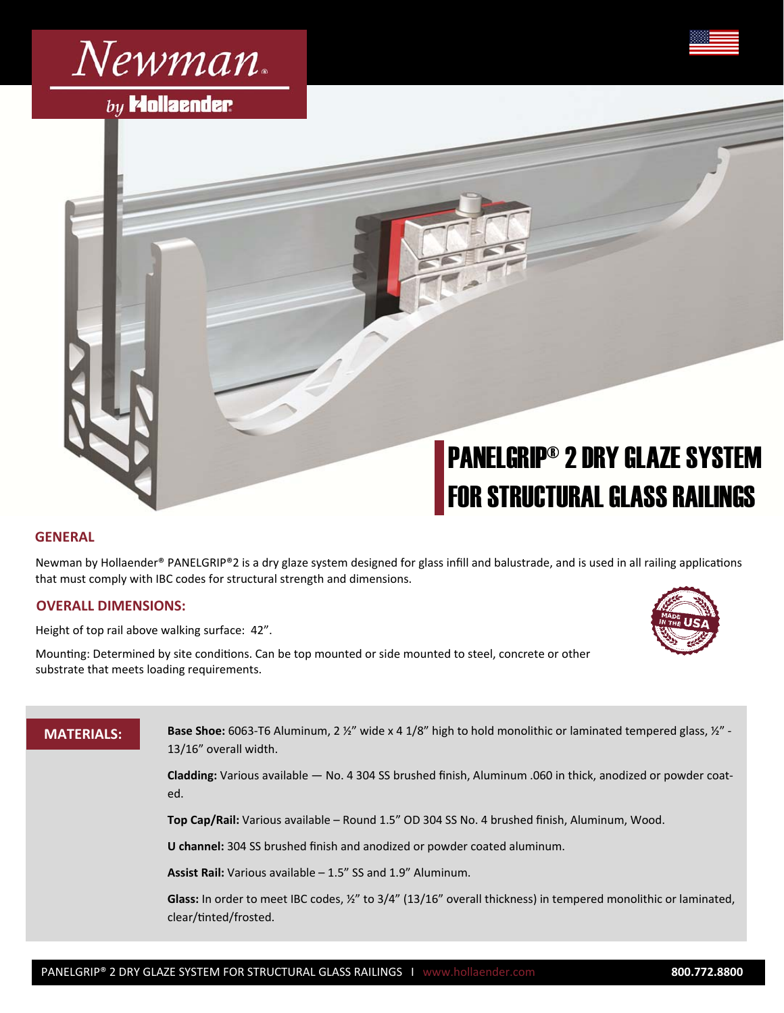

# $by$  Mollaender

# PANELGRIP® 2 DRY GLAZE SYSTEM FOR STRUCTURAL GLASS RAILINGS

## **GENERAL**

Newman by Hollaender® PANELGRIP®2 is a dry glaze system designed for glass infill and balustrade, and is used in all railing applications that must comply with IBC codes for structural strength and dimensions.

#### **OVERALL DIMENSIONS:**

Height of top rail above walking surface: 42".

Mounting: Determined by site conditions. Can be top mounted or side mounted to steel, concrete or other substrate that meets loading requirements.



# **MATERIALS:**

**Base Shoe:** 6063-T6 Aluminum, 2 ½" wide x 4 1/8" high to hold monolithic or laminated tempered glass, ½" - 13/16" overall width.

**Cladding:** Various available — No. 4 304 SS brushed finish, Aluminum .060 in thick, anodized or powder coated.

**Top Cap/Rail:** Various available – Round 1.5" OD 304 SS No. 4 brushed finish, Aluminum, Wood.

**U channel:** 304 SS brushed finish and anodized or powder coated aluminum.

**Assist Rail:** Various available – 1.5" SS and 1.9" Aluminum.

**Glass:** In order to meet IBC codes, ½" to 3/4" (13/16" overall thickness) in tempered monolithic or laminated, clear/Ɵnted/frosted.